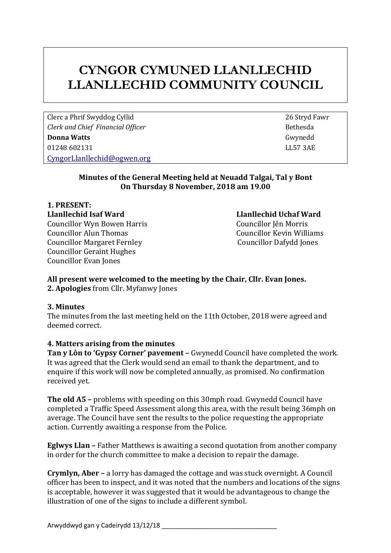# **CYNGOR CYMUNED LLANLLECHID LLANLLECHID COMMUNITY COUNCIL**

Clerc a Phrif Swyddog Cyllid 26 Stryd Fawr *Clerk and Chief Financial Officer* **Bethesda Bethesda Donna Watts** Gwynedd 01248 602131 LL57 3AE [CyngorLlanllechid@ogwen.org](mailto:CyngorLlanllechid@ogwen.org)

# **Minutes of the General Meeting held at Neuadd Talgai, Tal y Bont On Thursday 8 November, 2018 am 19.00**

**1. PRESENT: Llanllechid Isaf Ward Llanllechid Uchaf Ward**  Councillor Wyn Bowen Harris Councillor Jên Morris Councillor Alun Thomas Councillor Kevin Williams Councillor Margaret Fernley Councillor Dafydd Jones Councillor Geraint Hughes Councillor Evan Jones

# **All present were welcomed to the meeting by the Chair, Cllr. Evan Jones. 2. Apologies** from Cllr. Myfanwy Jones

# **3. Minutes**

The minutes from the last meeting held on the 11th October, 2018 were agreed and deemed correct.

# **4. Matters arising from the minutes**

**Tan y Lôn to 'Gypsy Corner' pavement –** Gwynedd Council have completed the work. It was agreed that the Clerk would send an email to thank the department, and to enquire if this work will now be completed annually, as promised. No confirmation received yet.

**The old A5 –** problems with speeding on this 30mph road. Gwynedd Council have completed a Traffic Speed Assessment along this area, with the result being 36mph on average. The Council have sent the results to the police requesting the appropriate action. Currently awaiting a response from the Police.

**Eglwys Llan –** Father Matthews is awaiting a second quotation from another company in order for the church committee to make a decision to repair the damage.

**Crymlyn, Aber –** a lorry has damaged the cottage and was stuck overnight. A Council officer has been to inspect, and it was noted that the numbers and locations of the signs is acceptable, however it was suggested that it would be advantageous to change the illustration of one of the signs to include a different symbol.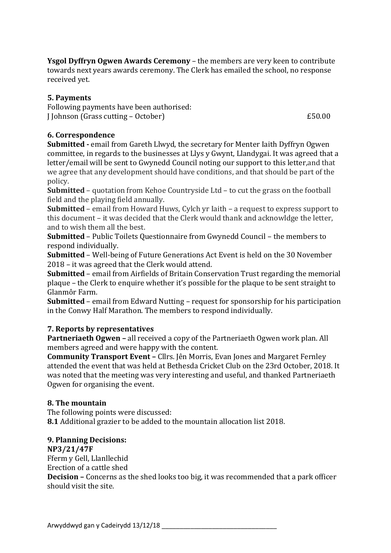**Ysgol Dyffryn Ogwen Awards Ceremony** – the members are very keen to contribute towards next years awards ceremony. The Clerk has emailed the school, no response received yet.

# **5. Payments**

Following payments have been authorised: J Johnson (Grass cutting – October)  $£50.00$ 

**6. Correspondence**

**Submitted -** email from Gareth Llwyd, the secretary for Menter Iaith Dyffryn Ogwen committee, in regards to the businesses at Llys y Gwynt, Llandygai. It was agreed that a letter/email will be sent to Gwynedd Council noting our support to this letter,and that we agree that any development should have conditions, and that should be part of the policy.

**Submitted** – quotation from Kehoe Countryside Ltd – to cut the grass on the football field and the playing field annually.

**Submitted** – email from Howard Huws, Cylch yr Iaith – a request to express support to this document – it was decided that the Clerk would thank and acknowldge the letter, and to wish them all the best.

**Submitted** – Public Toilets Questionnaire from Gwynedd Council – the members to respond individually.

**Submitted** – Well-being of Future Generations Act Event is held on the 30 November 2018 – it was agreed that the Clerk would attend.

**Submitted** – email from Airfields of Britain Conservation Trust regarding the memorial plaque – the Clerk to enquire whether it's possible for the plaque to be sent straight to Glanmôr Farm.

**Submitted** – email from Edward Nutting – request for sponsorship for his participation in the Conwy Half Marathon. The members to respond individually.

# **7. Reports by representatives**

**Partneriaeth Ogwen –** all received a copy of the Partneriaeth Ogwen work plan. All members agreed and were happy with the content.

**Community Transport Event –** Cllrs. Jên Morris, Evan Jones and Margaret Fernley attended the event that was held at Bethesda Cricket Club on the 23rd October, 2018. It was noted that the meeting was very interesting and useful, and thanked Partneriaeth Ogwen for organising the event.

# **8. The mountain**

The following points were discussed: **8.1** Additional grazier to be added to the mountain allocation list 2018.

# **9. Planning Decisions:**

**NP3/21/47F** Fferm y Gell, Llanllechid

Erection of a cattle shed

**Decision –** Concerns as the shed looks too big, it was recommended that a park officer should visit the site.